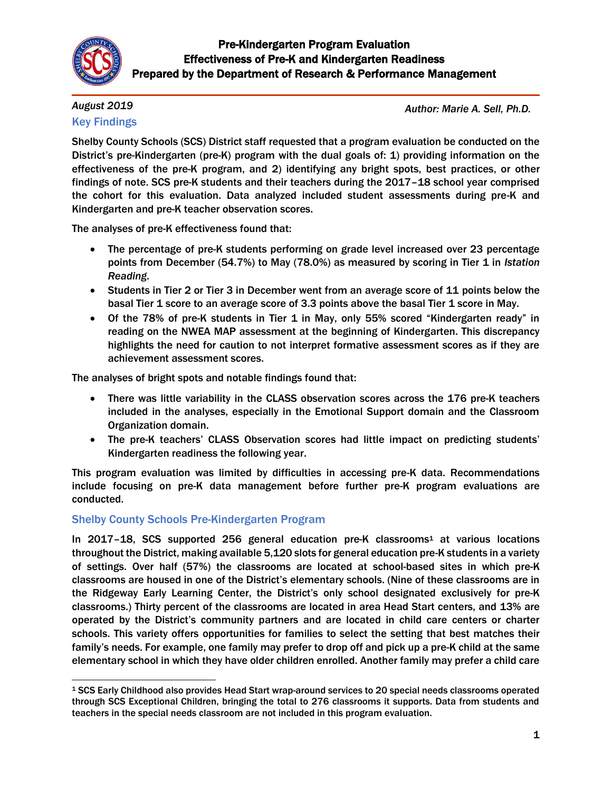

# *August 2019*

# Key Findings

*Author: Marie A. Sell, Ph.D.*

Shelby County Schools (SCS) District staff requested that a program evaluation be conducted on the District's pre-Kindergarten (pre-K) program with the dual goals of: 1) providing information on the effectiveness of the pre-K program, and 2) identifying any bright spots, best practices, or other findings of note. SCS pre-K students and their teachers during the 2017–18 school year comprised the cohort for this evaluation. Data analyzed included student assessments during pre-K and Kindergarten and pre-K teacher observation scores.

The analyses of pre-K effectiveness found that:

- The percentage of pre-K students performing on grade level increased over 23 percentage points from December (54.7%) to May (78.0%) as measured by scoring in Tier 1 in *Istation Reading*.
- Students in Tier 2 or Tier 3 in December went from an average score of 11 points below the basal Tier 1 score to an average score of 3.3 points above the basal Tier 1 score in May.
- Of the 78% of pre-K students in Tier 1 in May, only 55% scored "Kindergarten ready" in reading on the NWEA MAP assessment at the beginning of Kindergarten. This discrepancy highlights the need for caution to not interpret formative assessment scores as if they are achievement assessment scores.

The analyses of bright spots and notable findings found that:

- There was little variability in the CLASS observation scores across the 176 pre-K teachers included in the analyses, especially in the Emotional Support domain and the Classroom Organization domain.
- The pre-K teachers' CLASS Observation scores had little impact on predicting students' Kindergarten readiness the following year.

This program evaluation was limited by difficulties in accessing pre-K data. Recommendations include focusing on pre-K data management before further pre-K program evaluations are conducted.

# Shelby County Schools Pre-Kindergarten Program

In 2017–18, SCS supported 256 general education pre-K classrooms<sup>1</sup> at various locations throughout the District, making available 5,120 slots for general education pre-K students in a variety of settings. Over half (57%) the classrooms are located at school-based sites in which pre-K classrooms are housed in one of the District's elementary schools. (Nine of these classrooms are in the Ridgeway Early Learning Center, the District's only school designated exclusively for pre-K classrooms.) Thirty percent of the classrooms are located in area Head Start centers, and 13% are operated by the District's community partners and are located in child care centers or charter schools. This variety offers opportunities for families to select the setting that best matches their family's needs. For example, one family may prefer to drop off and pick up a pre-K child at the same elementary school in which they have older children enrolled. Another family may prefer a child care

 $\overline{a}$ <sup>1</sup> SCS Early Childhood also provides Head Start wrap-around services to 20 special needs classrooms operated through SCS Exceptional Children, bringing the total to 276 classrooms it supports. Data from students and teachers in the special needs classroom are not included in this program evaluation.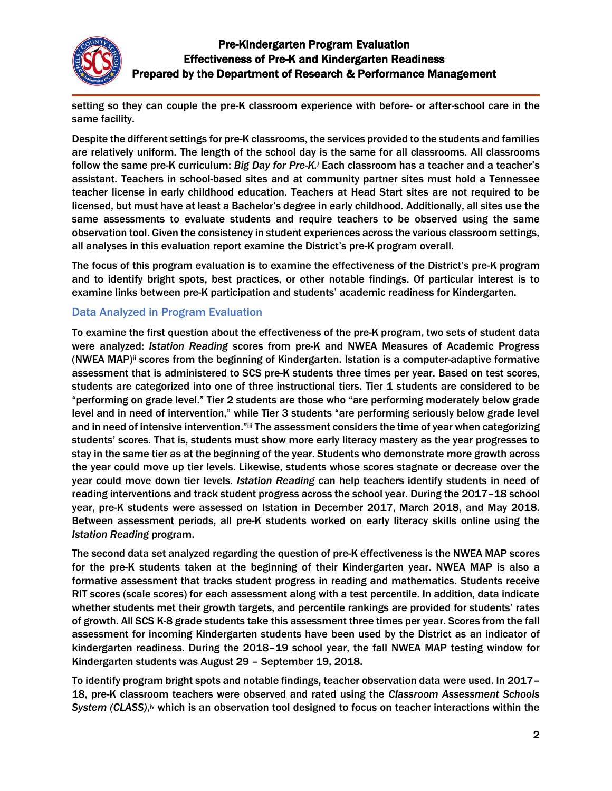

setting so they can couple the pre-K classroom experience with before- or after-school care in the same facility.

Despite the different settings for pre-K classrooms, the services provided to the students and families are relatively uniform. The length of the school day is the same for all classrooms. All classrooms follow the same pre-K curriculum: *Big Day for Pre-K.<sup>i</sup>* Each classroom has a teacher and a teacher's assistant. Teachers in school-based sites and at community partner sites must hold a Tennessee teacher license in early childhood education. Teachers at Head Start sites are not required to be licensed, but must have at least a Bachelor's degree in early childhood. Additionally, all sites use the same assessments to evaluate students and require teachers to be observed using the same observation tool. Given the consistency in student experiences across the various classroom settings, all analyses in this evaluation report examine the District's pre-K program overall.

The focus of this program evaluation is to examine the effectiveness of the District's pre-K program and to identify bright spots, best practices, or other notable findings. Of particular interest is to examine links between pre-K participation and students' academic readiness for Kindergarten.

### Data Analyzed in Program Evaluation

To examine the first question about the effectiveness of the pre-K program, two sets of student data were analyzed: *Istation Reading* scores from pre-K and NWEA Measures of Academic Progress (NWEA MAP)ii scores from the beginning of Kindergarten. Istation is a computer-adaptive formative assessment that is administered to SCS pre-K students three times per year. Based on test scores, students are categorized into one of three instructional tiers. Tier 1 students are considered to be "performing on grade level." Tier 2 students are those who "are performing moderately below grade level and in need of intervention," while Tier 3 students "are performing seriously below grade level and in need of intensive intervention."iii The assessment considers the time of year when categorizing students' scores. That is, students must show more early literacy mastery as the year progresses to stay in the same tier as at the beginning of the year. Students who demonstrate more growth across the year could move up tier levels. Likewise, students whose scores stagnate or decrease over the year could move down tier levels. *Istation Reading* can help teachers identify students in need of reading interventions and track student progress across the school year. During the 2017–18 school year, pre-K students were assessed on Istation in December 2017, March 2018, and May 2018. Between assessment periods, all pre-K students worked on early literacy skills online using the *Istation Reading* program.

The second data set analyzed regarding the question of pre-K effectiveness is the NWEA MAP scores for the pre-K students taken at the beginning of their Kindergarten year. NWEA MAP is also a formative assessment that tracks student progress in reading and mathematics. Students receive RIT scores (scale scores) for each assessment along with a test percentile. In addition, data indicate whether students met their growth targets, and percentile rankings are provided for students' rates of growth. All SCS K-8 grade students take this assessment three times per year. Scores from the fall assessment for incoming Kindergarten students have been used by the District as an indicator of kindergarten readiness. During the 2018–19 school year, the fall NWEA MAP testing window for Kindergarten students was August 29 – September 19, 2018.

To identify program bright spots and notable findings, teacher observation data were used. In 2017– 18, pre-K classroom teachers were observed and rated using the *Classroom Assessment Schools*  System (CLASS),<sup>iv</sup> which is an observation tool designed to focus on teacher interactions within the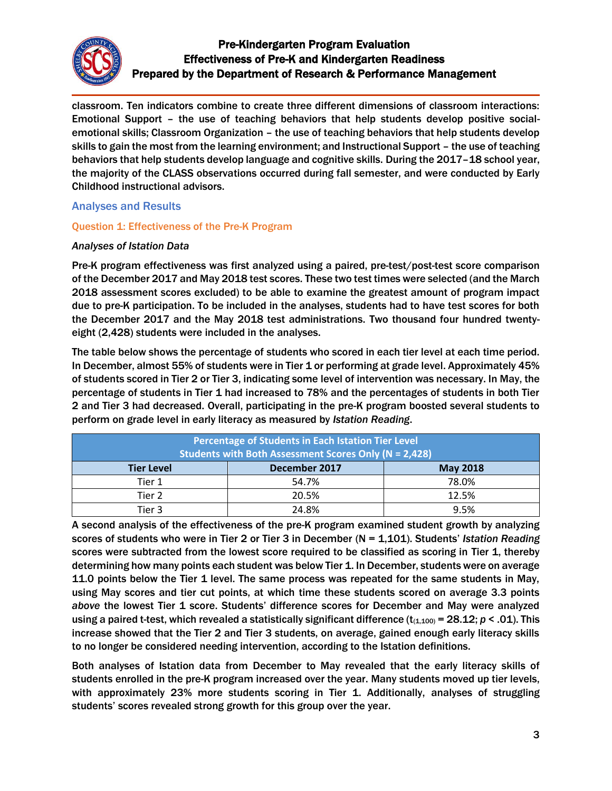

classroom. Ten indicators combine to create three different dimensions of classroom interactions: Emotional Support – the use of teaching behaviors that help students develop positive socialemotional skills; Classroom Organization – the use of teaching behaviors that help students develop skills to gain the most from the learning environment; and Instructional Support – the use of teaching behaviors that help students develop language and cognitive skills. During the 2017–18 school year, the majority of the CLASS observations occurred during fall semester, and were conducted by Early Childhood instructional advisors.

### Analyses and Results

### Question 1: Effectiveness of the Pre-K Program

### *Analyses of Istation Data*

Pre-K program effectiveness was first analyzed using a paired, pre-test/post-test score comparison of the December 2017 and May 2018 test scores. These two test times were selected (and the March 2018 assessment scores excluded) to be able to examine the greatest amount of program impact due to pre-K participation. To be included in the analyses, students had to have test scores for both the December 2017 and the May 2018 test administrations. Two thousand four hundred twentyeight (2,428) students were included in the analyses.

The table below shows the percentage of students who scored in each tier level at each time period. In December, almost 55% of students were in Tier 1 or performing at grade level. Approximately 45% of students scored in Tier 2 or Tier 3, indicating some level of intervention was necessary. In May, the percentage of students in Tier 1 had increased to 78% and the percentages of students in both Tier 2 and Tier 3 had decreased. Overall, participating in the pre-K program boosted several students to perform on grade level in early literacy as measured by *Istation Reading*.

| Percentage of Students in Each Istation Tier Level<br><b>Students with Both Assessment Scores Only (N = 2,428)</b> |               |                 |  |
|--------------------------------------------------------------------------------------------------------------------|---------------|-----------------|--|
| <b>Tier Level</b>                                                                                                  | December 2017 | <b>May 2018</b> |  |
| Tier 1                                                                                                             | 54.7%         | 78.0%           |  |
| Tier 2                                                                                                             | 20.5%         | 12.5%           |  |
| Tier 3                                                                                                             | 24.8%         | 9.5%            |  |

A second analysis of the effectiveness of the pre-K program examined student growth by analyzing scores of students who were in Tier 2 or Tier 3 in December (N = 1,101). Students' *Istation Reading* scores were subtracted from the lowest score required to be classified as scoring in Tier 1, thereby determining how many points each student was below Tier 1. In December, students were on average 11.0 points below the Tier 1 level. The same process was repeated for the same students in May, using May scores and tier cut points, at which time these students scored on average 3.3 points *above* the lowest Tier 1 score. Students' difference scores for December and May were analyzed using a paired t-test, which revealed a statistically significant difference  $(t_{(1,100)} = 28.12; p < .01)$ . This increase showed that the Tier 2 and Tier 3 students, on average, gained enough early literacy skills to no longer be considered needing intervention, according to the Istation definitions.

Both analyses of Istation data from December to May revealed that the early literacy skills of students enrolled in the pre-K program increased over the year. Many students moved up tier levels, with approximately 23% more students scoring in Tier 1. Additionally, analyses of struggling students' scores revealed strong growth for this group over the year.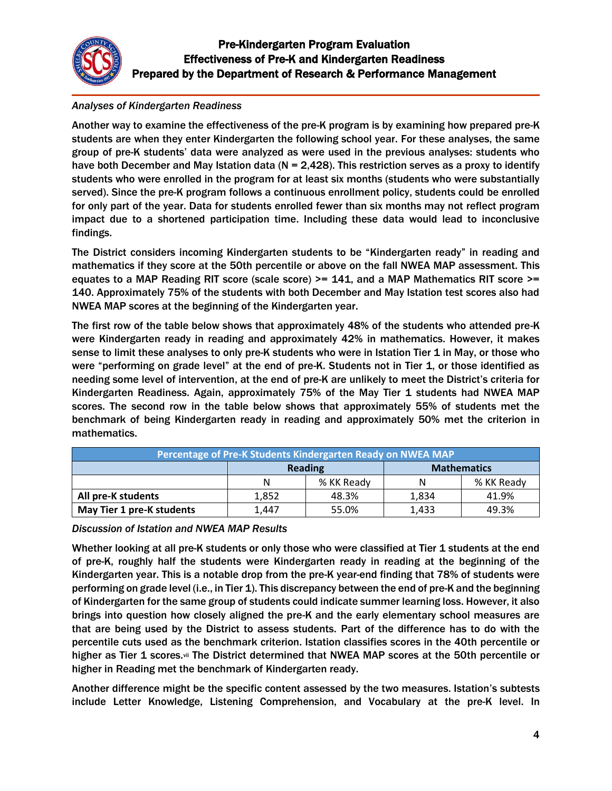

### *Analyses of Kindergarten Readiness*

Another way to examine the effectiveness of the pre-K program is by examining how prepared pre-K students are when they enter Kindergarten the following school year. For these analyses, the same group of pre-K students' data were analyzed as were used in the previous analyses: students who have both December and May Istation data ( $N = 2,428$ ). This restriction serves as a proxy to identify students who were enrolled in the program for at least six months (students who were substantially served). Since the pre-K program follows a continuous enrollment policy, students could be enrolled for only part of the year. Data for students enrolled fewer than six months may not reflect program impact due to a shortened participation time. Including these data would lead to inconclusive findings.

The District considers incoming Kindergarten students to be "Kindergarten ready" in reading and mathematics if they score at the 50th percentile or above on the fall NWEA MAP assessment. This equates to a MAP Reading RIT score (scale score) >= 141, and a MAP Mathematics RIT score >= 140. Approximately 75% of the students with both December and May Istation test scores also had NWEA MAP scores at the beginning of the Kindergarten year.

The first row of the table below shows that approximately 48% of the students who attended pre-K were Kindergarten ready in reading and approximately 42% in mathematics. However, it makes sense to limit these analyses to only pre-K students who were in Istation Tier 1 in May, or those who were "performing on grade level" at the end of pre-K. Students not in Tier 1, or those identified as needing some level of intervention, at the end of pre-K are unlikely to meet the District's criteria for Kindergarten Readiness. Again, approximately 75% of the May Tier 1 students had NWEA MAP scores. The second row in the table below shows that approximately 55% of students met the benchmark of being Kindergarten ready in reading and approximately 50% met the criterion in mathematics.

| Percentage of Pre-K Students Kindergarten Ready on NWEA MAP |         |            |                    |            |
|-------------------------------------------------------------|---------|------------|--------------------|------------|
|                                                             | Reading |            | <b>Mathematics</b> |            |
|                                                             | N       | % KK Ready | N                  | % KK Ready |
| All pre-K students                                          | 1,852   | 48.3%      | 1,834              | 41.9%      |
| May Tier 1 pre-K students                                   | 1,447   | 55.0%      | 1,433              | 49.3%      |

*Discussion of Istation and NWEA MAP Results*

Whether looking at all pre-K students or only those who were classified at Tier 1 students at the end of pre-K, roughly half the students were Kindergarten ready in reading at the beginning of the Kindergarten year. This is a notable drop from the pre-K year-end finding that 78% of students were performing on grade level (i.e., in Tier 1). This discrepancy between the end of pre-K and the beginning of Kindergarten for the same group of students could indicate summer learning loss. However, it also brings into question how closely aligned the pre-K and the early elementary school measures are that are being used by the District to assess students. Part of the difference has to do with the percentile cuts used as the benchmark criterion. Istation classifies scores in the 40th percentile or higher as Tier 1 scores.vii The District determined that NWEA MAP scores at the 50th percentile or higher in Reading met the benchmark of Kindergarten ready.

Another difference might be the specific content assessed by the two measures. Istation's subtests include Letter Knowledge, Listening Comprehension, and Vocabulary at the pre-K level. In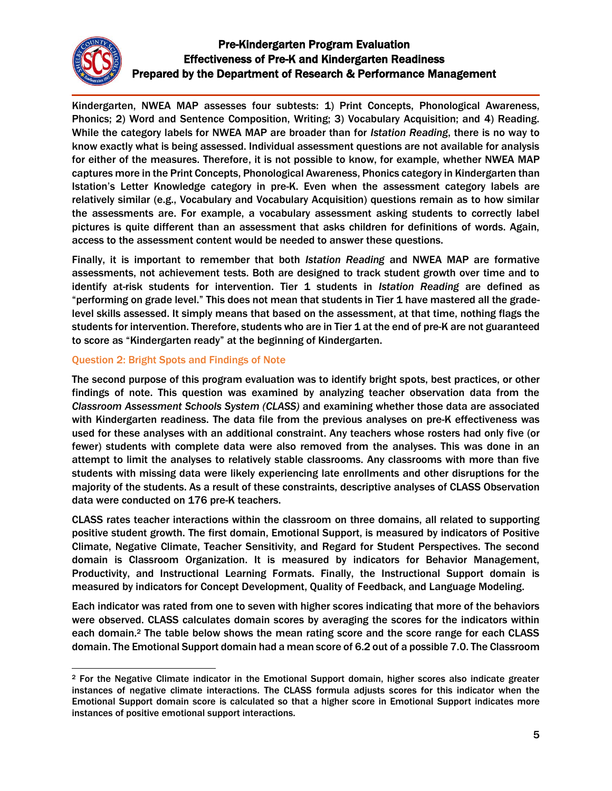

 $\overline{\phantom{a}}$ 

# Pre-Kindergarten Program Evaluation Effectiveness of Pre-K and Kindergarten Readiness Prepared by the Department of Research & Performance Management

Kindergarten, NWEA MAP assesses four subtests: 1) Print Concepts, Phonological Awareness, Phonics; 2) Word and Sentence Composition, Writing; 3) Vocabulary Acquisition; and 4) Reading. While the category labels for NWEA MAP are broader than for *Istation Reading*, there is no way to know exactly what is being assessed. Individual assessment questions are not available for analysis for either of the measures. Therefore, it is not possible to know, for example, whether NWEA MAP captures more in the Print Concepts, Phonological Awareness, Phonics category in Kindergarten than Istation's Letter Knowledge category in pre-K. Even when the assessment category labels are relatively similar (e.g., Vocabulary and Vocabulary Acquisition) questions remain as to how similar the assessments are. For example, a vocabulary assessment asking students to correctly label pictures is quite different than an assessment that asks children for definitions of words. Again, access to the assessment content would be needed to answer these questions.

Finally, it is important to remember that both *Istation Reading* and NWEA MAP are formative assessments, not achievement tests. Both are designed to track student growth over time and to identify at-risk students for intervention. Tier 1 students in *Istation Reading* are defined as "performing on grade level." This does not mean that students in Tier 1 have mastered all the gradelevel skills assessed. It simply means that based on the assessment, at that time, nothing flags the students for intervention. Therefore, students who are in Tier 1 at the end of pre-K are not guaranteed to score as "Kindergarten ready" at the beginning of Kindergarten.

#### Question 2: Bright Spots and Findings of Note

The second purpose of this program evaluation was to identify bright spots, best practices, or other findings of note. This question was examined by analyzing teacher observation data from the *Classroom Assessment Schools System (CLASS)* and examining whether those data are associated with Kindergarten readiness. The data file from the previous analyses on pre-K effectiveness was used for these analyses with an additional constraint. Any teachers whose rosters had only five (or fewer) students with complete data were also removed from the analyses. This was done in an attempt to limit the analyses to relatively stable classrooms. Any classrooms with more than five students with missing data were likely experiencing late enrollments and other disruptions for the majority of the students. As a result of these constraints, descriptive analyses of CLASS Observation data were conducted on 176 pre-K teachers.

CLASS rates teacher interactions within the classroom on three domains, all related to supporting positive student growth. The first domain, Emotional Support, is measured by indicators of Positive Climate, Negative Climate, Teacher Sensitivity, and Regard for Student Perspectives. The second domain is Classroom Organization. It is measured by indicators for Behavior Management, Productivity, and Instructional Learning Formats. Finally, the Instructional Support domain is measured by indicators for Concept Development, Quality of Feedback, and Language Modeling.

Each indicator was rated from one to seven with higher scores indicating that more of the behaviors were observed. CLASS calculates domain scores by averaging the scores for the indicators within each domain.<sup>2</sup> The table below shows the mean rating score and the score range for each CLASS domain. The Emotional Support domain had a mean score of 6.2 out of a possible 7.0. The Classroom

<sup>2</sup> For the Negative Climate indicator in the Emotional Support domain, higher scores also indicate greater instances of negative climate interactions. The CLASS formula adjusts scores for this indicator when the Emotional Support domain score is calculated so that a higher score in Emotional Support indicates more instances of positive emotional support interactions.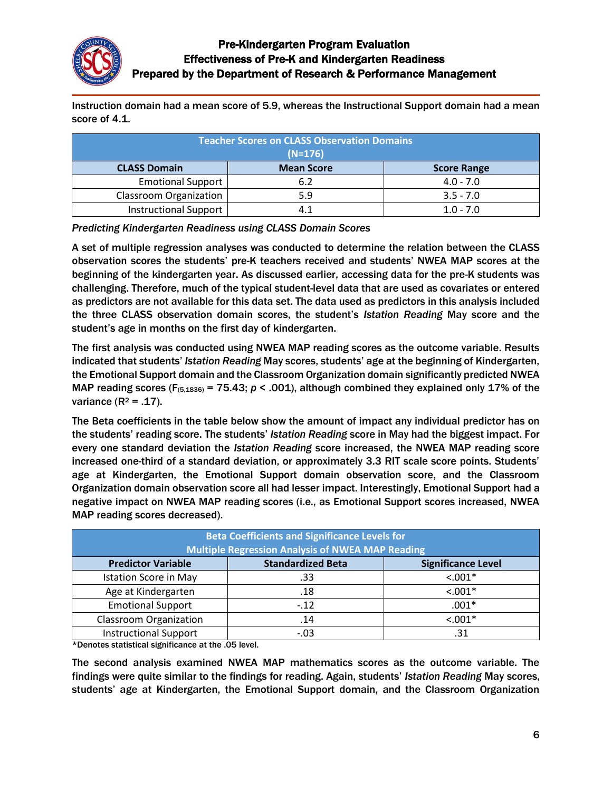

Instruction domain had a mean score of 5.9, whereas the Instructional Support domain had a mean score of 4.1.

| <b>Teacher Scores on CLASS Observation Domains</b><br>$(N=176)$ |                   |                    |  |
|-----------------------------------------------------------------|-------------------|--------------------|--|
| <b>CLASS Domain</b>                                             | <b>Mean Score</b> | <b>Score Range</b> |  |
| <b>Emotional Support</b>                                        | 6.2               | $4.0 - 7.0$        |  |
| <b>Classroom Organization</b>                                   | 5.9               | $3.5 - 7.0$        |  |
| <b>Instructional Support</b>                                    |                   | $1.0 - 7.0$        |  |

*Predicting Kindergarten Readiness using CLASS Domain Scores*

A set of multiple regression analyses was conducted to determine the relation between the CLASS observation scores the students' pre-K teachers received and students' NWEA MAP scores at the beginning of the kindergarten year. As discussed earlier, accessing data for the pre-K students was challenging. Therefore, much of the typical student-level data that are used as covariates or entered as predictors are not available for this data set. The data used as predictors in this analysis included the three CLASS observation domain scores, the student's *Istation Reading* May score and the student's age in months on the first day of kindergarten.

The first analysis was conducted using NWEA MAP reading scores as the outcome variable. Results indicated that students' *Istation Reading* May scores, students' age at the beginning of Kindergarten, the Emotional Support domain and the Classroom Organization domain significantly predicted NWEA MAP reading scores ( $F_{(5,1836)} = 75.43$ ;  $p < .001$ ), although combined they explained only 17% of the variance  $(R^2 = .17)$ .

The Beta coefficients in the table below show the amount of impact any individual predictor has on the students' reading score. The students' *Istation Reading* score in May had the biggest impact. For every one standard deviation the *Istation Reading* score increased, the NWEA MAP reading score increased one-third of a standard deviation, or approximately 3.3 RIT scale score points. Students' age at Kindergarten, the Emotional Support domain observation score, and the Classroom Organization domain observation score all had lesser impact. Interestingly, Emotional Support had a negative impact on NWEA MAP reading scores (i.e., as Emotional Support scores increased, NWEA MAP reading scores decreased).

| <b>Beta Coefficients and Significance Levels for</b><br><b>Multiple Regression Analysis of NWEA MAP Reading</b> |                          |                           |  |
|-----------------------------------------------------------------------------------------------------------------|--------------------------|---------------------------|--|
| <b>Predictor Variable</b>                                                                                       | <b>Standardized Beta</b> | <b>Significance Level</b> |  |
| <b>Istation Score in May</b>                                                                                    | .33                      | $< .001*$                 |  |
| Age at Kindergarten                                                                                             | .18                      | $< .001*$                 |  |
| <b>Emotional Support</b>                                                                                        | $-.12$                   | $.001*$                   |  |
| <b>Classroom Organization</b>                                                                                   | .14                      | $< .001*$                 |  |
| <b>Instructional Support</b>                                                                                    | $-.03$                   | .31                       |  |

\*Denotes statistical significance at the .05 level.

The second analysis examined NWEA MAP mathematics scores as the outcome variable. The findings were quite similar to the findings for reading. Again, students' *Istation Reading* May scores, students' age at Kindergarten, the Emotional Support domain, and the Classroom Organization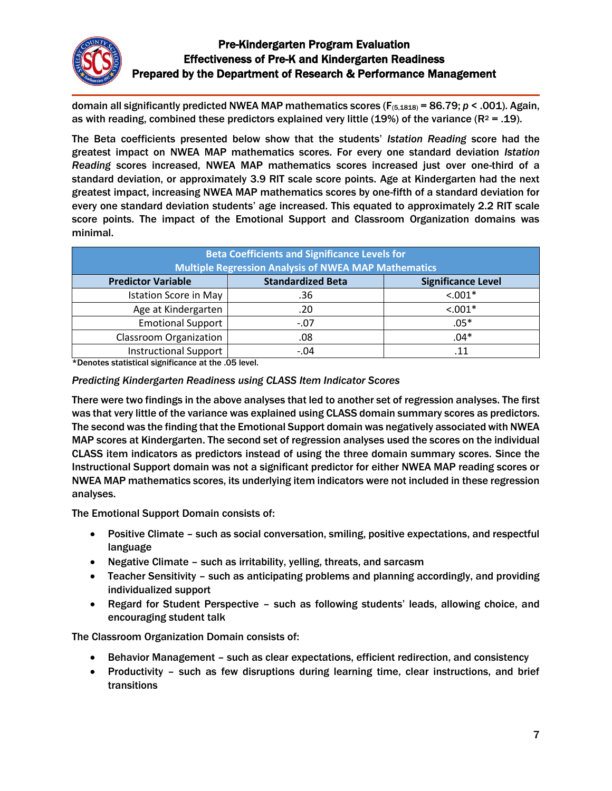

domain all significantly predicted NWEA MAP mathematics scores (F(5,1818) = 86.79; *p* < .001). Again, as with reading, combined these predictors explained very little (19%) of the variance ( $R^2 = .19$ ).

The Beta coefficients presented below show that the students' *Istation Reading* score had the greatest impact on NWEA MAP mathematics scores. For every one standard deviation *Istation Reading* scores increased, NWEA MAP mathematics scores increased just over one-third of a standard deviation, or approximately 3.9 RIT scale score points. Age at Kindergarten had the next greatest impact, increasing NWEA MAP mathematics scores by one-fifth of a standard deviation for every one standard deviation students' age increased. This equated to approximately 2.2 RIT scale score points. The impact of the Emotional Support and Classroom Organization domains was minimal.

| <b>Beta Coefficients and Significance Levels for</b><br><b>Multiple Regression Analysis of NWEA MAP Mathematics</b> |                          |                           |  |
|---------------------------------------------------------------------------------------------------------------------|--------------------------|---------------------------|--|
| <b>Predictor Variable</b>                                                                                           | <b>Standardized Beta</b> | <b>Significance Level</b> |  |
| <b>Istation Score in May</b>                                                                                        | .36                      | $< .001*$                 |  |
| Age at Kindergarten                                                                                                 | .20                      | $< .001*$                 |  |
| <b>Emotional Support</b>                                                                                            | $-.07$                   | $.05*$                    |  |
| <b>Classroom Organization</b>                                                                                       | .08                      | $.04*$                    |  |
| <b>Instructional Support</b>                                                                                        | $-.04$                   | .11                       |  |

\*Denotes statistical significance at the .05 level.

#### *Predicting Kindergarten Readiness using CLASS Item Indicator Scores*

There were two findings in the above analyses that led to another set of regression analyses. The first was that very little of the variance was explained using CLASS domain summary scores as predictors. The second was the finding that the Emotional Support domain was negatively associated with NWEA MAP scores at Kindergarten. The second set of regression analyses used the scores on the individual CLASS item indicators as predictors instead of using the three domain summary scores. Since the Instructional Support domain was not a significant predictor for either NWEA MAP reading scores or NWEA MAP mathematics scores, its underlying item indicators were not included in these regression analyses.

The Emotional Support Domain consists of:

- Positive Climate such as social conversation, smiling, positive expectations, and respectful language
- Negative Climate such as irritability, yelling, threats, and sarcasm
- Teacher Sensitivity such as anticipating problems and planning accordingly, and providing individualized support
- Regard for Student Perspective such as following students' leads, allowing choice, and encouraging student talk

The Classroom Organization Domain consists of:

- Behavior Management such as clear expectations, efficient redirection, and consistency
- Productivity such as few disruptions during learning time, clear instructions, and brief transitions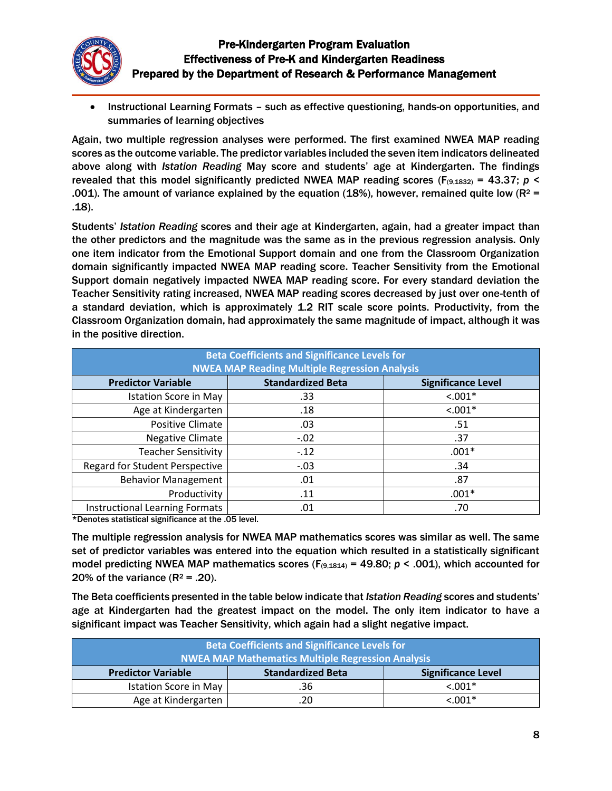

 Instructional Learning Formats – such as effective questioning, hands-on opportunities, and summaries of learning objectives

Again, two multiple regression analyses were performed. The first examined NWEA MAP reading scores as the outcome variable. The predictor variables included the seven item indicators delineated above along with *Istation Reading* May score and students' age at Kindergarten. The findings revealed that this model significantly predicted NWEA MAP reading scores ( $F_{(9,1832)} = 43.37$ ;  $p \le$ .001). The amount of variance explained by the equation (18%), however, remained quite low ( $R^2$  = .18).

Students' *Istation Reading* scores and their age at Kindergarten, again, had a greater impact than the other predictors and the magnitude was the same as in the previous regression analysis. Only one item indicator from the Emotional Support domain and one from the Classroom Organization domain significantly impacted NWEA MAP reading score. Teacher Sensitivity from the Emotional Support domain negatively impacted NWEA MAP reading score. For every standard deviation the Teacher Sensitivity rating increased, NWEA MAP reading scores decreased by just over one-tenth of a standard deviation, which is approximately 1.2 RIT scale score points. Productivity, from the Classroom Organization domain, had approximately the same magnitude of impact, although it was in the positive direction.

| <b>Beta Coefficients and Significance Levels for</b><br><b>NWEA MAP Reading Multiple Regression Analysis</b> |                          |                           |  |
|--------------------------------------------------------------------------------------------------------------|--------------------------|---------------------------|--|
| <b>Predictor Variable</b>                                                                                    | <b>Standardized Beta</b> | <b>Significance Level</b> |  |
| <b>Istation Score in May</b>                                                                                 | .33                      | $< .001*$                 |  |
| Age at Kindergarten                                                                                          | .18                      | $< .001*$                 |  |
| Positive Climate                                                                                             | .03                      | .51                       |  |
| <b>Negative Climate</b>                                                                                      | $-.02$                   | .37                       |  |
| <b>Teacher Sensitivity</b>                                                                                   | $-.12$                   | $.001*$                   |  |
| <b>Regard for Student Perspective</b>                                                                        | $-.03$                   | .34                       |  |
| <b>Behavior Management</b>                                                                                   | .01                      | .87                       |  |
| Productivity                                                                                                 | .11                      | $.001*$                   |  |
| <b>Instructional Learning Formats</b>                                                                        | .01                      | .70                       |  |

\*Denotes statistical significance at the .05 level.

The multiple regression analysis for NWEA MAP mathematics scores was similar as well. The same set of predictor variables was entered into the equation which resulted in a statistically significant model predicting NWEA MAP mathematics scores ( $F_{(9,1814)}$  = 49.80;  $p < .001$ ), which accounted for 20% of the variance  $(R^2 = .20)$ .

The Beta coefficients presented in the table below indicate that *Istation Reading* scores and students' age at Kindergarten had the greatest impact on the model. The only item indicator to have a significant impact was Teacher Sensitivity, which again had a slight negative impact.

| <b>Beta Coefficients and Significance Levels for</b>     |                          |                           |
|----------------------------------------------------------|--------------------------|---------------------------|
| <b>NWEA MAP Mathematics Multiple Regression Analysis</b> |                          |                           |
| <b>Predictor Variable</b>                                | <b>Standardized Beta</b> | <b>Significance Level</b> |
| Istation Score in May                                    | .36                      | $< 0.001*$                |
| Age at Kindergarten                                      | .20                      | $< 0.001*$                |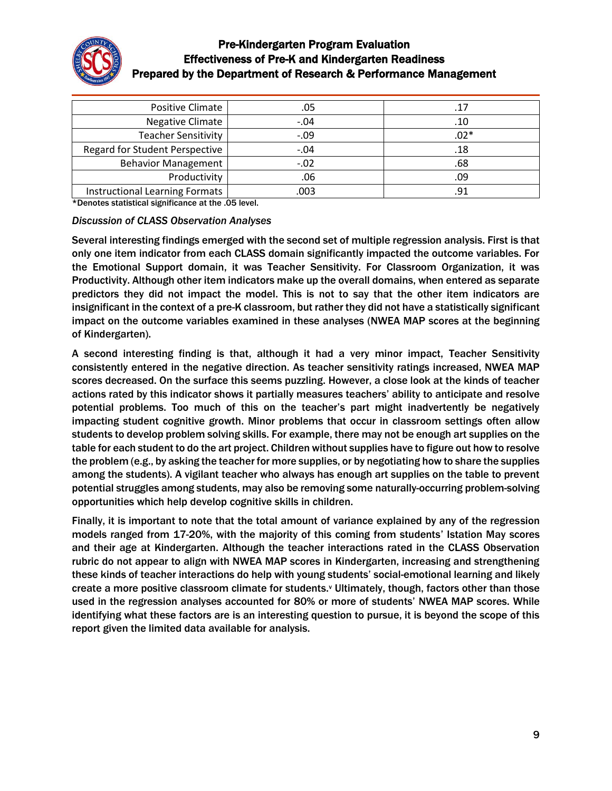

| Positive Climate                      | .05    | .17    |
|---------------------------------------|--------|--------|
| Negative Climate                      | $-.04$ | .10    |
| <b>Teacher Sensitivity</b>            | $-.09$ | $.02*$ |
| <b>Regard for Student Perspective</b> | $-.04$ | .18    |
| <b>Behavior Management</b>            | $-.02$ | .68    |
| Productivity                          | .06    | .09    |
| Instructional Learning Formats        | .003   | .91    |

\*Denotes statistical significance at the .05 level.

#### *Discussion of CLASS Observation Analyses*

Several interesting findings emerged with the second set of multiple regression analysis. First is that only one item indicator from each CLASS domain significantly impacted the outcome variables. For the Emotional Support domain, it was Teacher Sensitivity. For Classroom Organization, it was Productivity. Although other item indicators make up the overall domains, when entered as separate predictors they did not impact the model. This is not to say that the other item indicators are insignificant in the context of a pre-K classroom, but rather they did not have a statistically significant impact on the outcome variables examined in these analyses (NWEA MAP scores at the beginning of Kindergarten).

A second interesting finding is that, although it had a very minor impact, Teacher Sensitivity consistently entered in the negative direction. As teacher sensitivity ratings increased, NWEA MAP scores decreased. On the surface this seems puzzling. However, a close look at the kinds of teacher actions rated by this indicator shows it partially measures teachers' ability to anticipate and resolve potential problems. Too much of this on the teacher's part might inadvertently be negatively impacting student cognitive growth. Minor problems that occur in classroom settings often allow students to develop problem solving skills. For example, there may not be enough art supplies on the table for each student to do the art project. Children without supplies have to figure out how to resolve the problem (e.g., by asking the teacher for more supplies, or by negotiating how to share the supplies among the students). A vigilant teacher who always has enough art supplies on the table to prevent potential struggles among students, may also be removing some naturally-occurring problem-solving opportunities which help develop cognitive skills in children.

Finally, it is important to note that the total amount of variance explained by any of the regression models ranged from 17-20%, with the majority of this coming from students' Istation May scores and their age at Kindergarten. Although the teacher interactions rated in the CLASS Observation rubric do not appear to align with NWEA MAP scores in Kindergarten, increasing and strengthening these kinds of teacher interactions do help with young students' social-emotional learning and likely create a more positive classroom climate for students.<sup>v</sup> Ultimately, though, factors other than those used in the regression analyses accounted for 80% or more of students' NWEA MAP scores. While identifying what these factors are is an interesting question to pursue, it is beyond the scope of this report given the limited data available for analysis.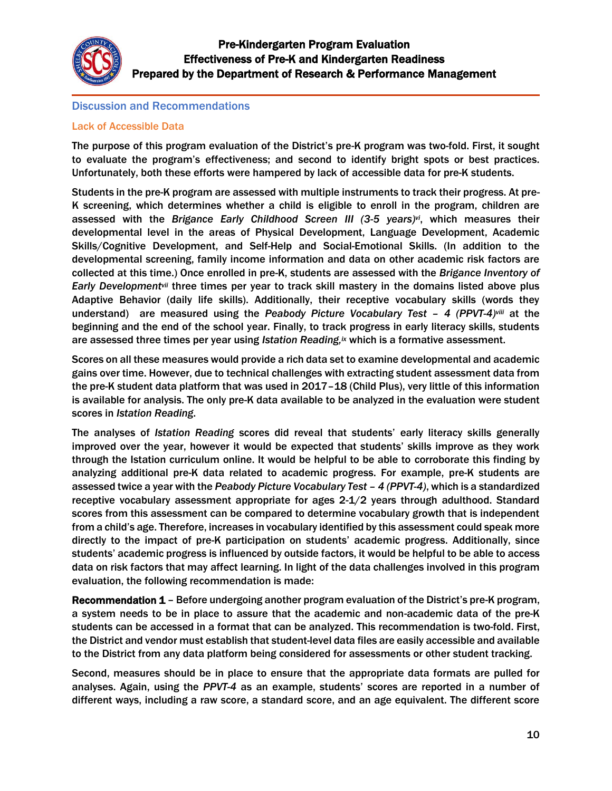

#### Discussion and Recommendations

#### Lack of Accessible Data

The purpose of this program evaluation of the District's pre-K program was two-fold. First, it sought to evaluate the program's effectiveness; and second to identify bright spots or best practices. Unfortunately, both these efforts were hampered by lack of accessible data for pre-K students.

Students in the pre-K program are assessed with multiple instruments to track their progress. At pre-K screening, which determines whether a child is eligible to enroll in the program, children are assessed with the *Brigance Early Childhood Screen III (3-5 years)vi*, which measures their developmental level in the areas of Physical Development, Language Development, Academic Skills/Cognitive Development, and Self-Help and Social-Emotional Skills. (In addition to the developmental screening, family income information and data on other academic risk factors are collected at this time.) Once enrolled in pre-K, students are assessed with the *Brigance Inventory of Early Developmentvii* three times per year to track skill mastery in the domains listed above plus Adaptive Behavior (daily life skills). Additionally, their receptive vocabulary skills (words they understand) are measured using the *Peabody Picture Vocabulary Test – 4 (PPVT-4)viii* at the beginning and the end of the school year. Finally, to track progress in early literacy skills, students are assessed three times per year using *Istation Reading, ix* which is a formative assessment.

Scores on all these measures would provide a rich data set to examine developmental and academic gains over time. However, due to technical challenges with extracting student assessment data from the pre-K student data platform that was used in 2017–18 (Child Plus), very little of this information is available for analysis. The only pre-K data available to be analyzed in the evaluation were student scores in *Istation Reading*.

The analyses of *Istation Reading* scores did reveal that students' early literacy skills generally improved over the year, however it would be expected that students' skills improve as they work through the Istation curriculum online. It would be helpful to be able to corroborate this finding by analyzing additional pre-K data related to academic progress. For example, pre-K students are assessed twice a year with the *Peabody Picture Vocabulary Test – 4 (PPVT-4)*, which is a standardized receptive vocabulary assessment appropriate for ages 2-1/2 years through adulthood. Standard scores from this assessment can be compared to determine vocabulary growth that is independent from a child's age. Therefore, increases in vocabulary identified by this assessment could speak more directly to the impact of pre-K participation on students' academic progress. Additionally, since students' academic progress is influenced by outside factors, it would be helpful to be able to access data on risk factors that may affect learning. In light of the data challenges involved in this program evaluation, the following recommendation is made:

Recommendation 1 – Before undergoing another program evaluation of the District's pre-K program, a system needs to be in place to assure that the academic and non-academic data of the pre-K students can be accessed in a format that can be analyzed. This recommendation is two-fold. First, the District and vendor must establish that student-level data files are easily accessible and available to the District from any data platform being considered for assessments or other student tracking.

Second, measures should be in place to ensure that the appropriate data formats are pulled for analyses. Again, using the *PPVT-4* as an example, students' scores are reported in a number of different ways, including a raw score, a standard score, and an age equivalent. The different score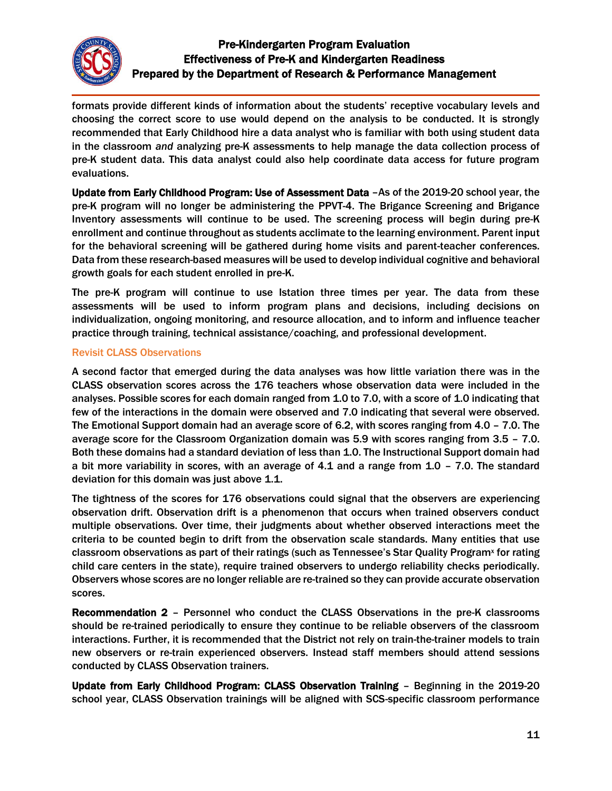

formats provide different kinds of information about the students' receptive vocabulary levels and choosing the correct score to use would depend on the analysis to be conducted. It is strongly recommended that Early Childhood hire a data analyst who is familiar with both using student data in the classroom *and* analyzing pre-K assessments to help manage the data collection process of pre-K student data. This data analyst could also help coordinate data access for future program evaluations.

Update from Early Childhood Program: Use of Assessment Data -As of the 2019-20 school year, the pre-K program will no longer be administering the PPVT-4. The Brigance Screening and Brigance Inventory assessments will continue to be used. The screening process will begin during pre-K enrollment and continue throughout as students acclimate to the learning environment. Parent input for the behavioral screening will be gathered during home visits and parent-teacher conferences. Data from these research-based measures will be used to develop individual cognitive and behavioral growth goals for each student enrolled in pre-K.

The pre-K program will continue to use Istation three times per year. The data from these assessments will be used to inform program plans and decisions, including decisions on individualization, ongoing monitoring, and resource allocation, and to inform and influence teacher practice through training, technical assistance/coaching, and professional development.

#### Revisit CLASS Observations

A second factor that emerged during the data analyses was how little variation there was in the CLASS observation scores across the 176 teachers whose observation data were included in the analyses. Possible scores for each domain ranged from 1.0 to 7.0, with a score of 1.0 indicating that few of the interactions in the domain were observed and 7.0 indicating that several were observed. The Emotional Support domain had an average score of 6.2, with scores ranging from 4.0 – 7.0. The average score for the Classroom Organization domain was 5.9 with scores ranging from 3.5 – 7.0. Both these domains had a standard deviation of less than 1.0. The Instructional Support domain had a bit more variability in scores, with an average of 4.1 and a range from 1.0 – 7.0. The standard deviation for this domain was just above 1.1.

The tightness of the scores for 176 observations could signal that the observers are experiencing observation drift. Observation drift is a phenomenon that occurs when trained observers conduct multiple observations. Over time, their judgments about whether observed interactions meet the criteria to be counted begin to drift from the observation scale standards. Many entities that use classroom observations as part of their ratings (such as Tennessee's Star Quality Program<sup>x</sup> for rating child care centers in the state), require trained observers to undergo reliability checks periodically. Observers whose scores are no longer reliable are re-trained so they can provide accurate observation scores.

Recommendation 2 – Personnel who conduct the CLASS Observations in the pre-K classrooms should be re-trained periodically to ensure they continue to be reliable observers of the classroom interactions. Further, it is recommended that the District not rely on train-the-trainer models to train new observers or re-train experienced observers. Instead staff members should attend sessions conducted by CLASS Observation trainers.

Update from Early Childhood Program: CLASS Observation Training – Beginning in the 2019-20 school year, CLASS Observation trainings will be aligned with SCS-specific classroom performance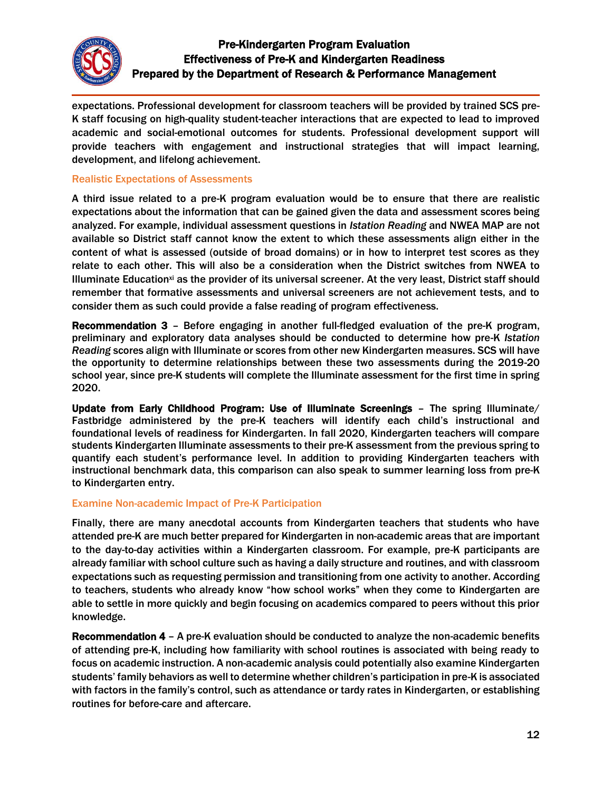

expectations. Professional development for classroom teachers will be provided by trained SCS pre-K staff focusing on high-quality student-teacher interactions that are expected to lead to improved academic and social-emotional outcomes for students. Professional development support will provide teachers with engagement and instructional strategies that will impact learning, development, and lifelong achievement.

#### Realistic Expectations of Assessments

A third issue related to a pre-K program evaluation would be to ensure that there are realistic expectations about the information that can be gained given the data and assessment scores being analyzed. For example, individual assessment questions in *Istation Reading* and NWEA MAP are not available so District staff cannot know the extent to which these assessments align either in the content of what is assessed (outside of broad domains) or in how to interpret test scores as they relate to each other. This will also be a consideration when the District switches from NWEA to Illuminate Educationxi as the provider of its universal screener. At the very least, District staff should remember that formative assessments and universal screeners are not achievement tests, and to consider them as such could provide a false reading of program effectiveness.

Recommendation 3 – Before engaging in another full-fledged evaluation of the pre-K program, preliminary and exploratory data analyses should be conducted to determine how pre-K *Istation Reading* scores align with Illuminate or scores from other new Kindergarten measures. SCS will have the opportunity to determine relationships between these two assessments during the 2019-20 school year, since pre-K students will complete the Illuminate assessment for the first time in spring 2020.

Update from Early Childhood Program: Use of Illuminate Screenings - The spring Illuminate/ Fastbridge administered by the pre-K teachers will identify each child's instructional and foundational levels of readiness for Kindergarten. In fall 2020, Kindergarten teachers will compare students Kindergarten Illuminate assessments to their pre-K assessment from the previous spring to quantify each student's performance level. In addition to providing Kindergarten teachers with instructional benchmark data, this comparison can also speak to summer learning loss from pre-K to Kindergarten entry.

### Examine Non-academic Impact of Pre-K Participation

Finally, there are many anecdotal accounts from Kindergarten teachers that students who have attended pre-K are much better prepared for Kindergarten in non-academic areas that are important to the day-to-day activities within a Kindergarten classroom. For example, pre-K participants are already familiar with school culture such as having a daily structure and routines, and with classroom expectations such as requesting permission and transitioning from one activity to another. According to teachers, students who already know "how school works" when they come to Kindergarten are able to settle in more quickly and begin focusing on academics compared to peers without this prior knowledge.

Recommendation 4 – A pre-K evaluation should be conducted to analyze the non-academic benefits of attending pre-K, including how familiarity with school routines is associated with being ready to focus on academic instruction. A non-academic analysis could potentially also examine Kindergarten students' family behaviors as well to determine whether children's participation in pre-K is associated with factors in the family's control, such as attendance or tardy rates in Kindergarten, or establishing routines for before-care and aftercare.